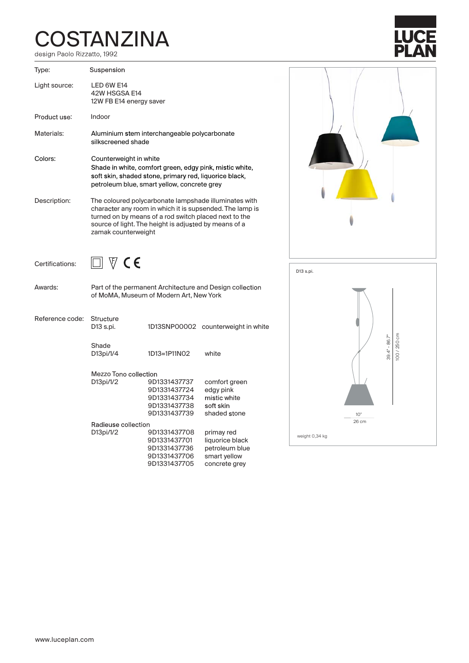## COSTANZINA

| Type:           | Suspension                                                                                                                                                                                                                                                 |                                                                              |                                                                                  |
|-----------------|------------------------------------------------------------------------------------------------------------------------------------------------------------------------------------------------------------------------------------------------------------|------------------------------------------------------------------------------|----------------------------------------------------------------------------------|
| Light source:   | LED 6W E14<br>42W HSGSA E14<br>12W FB E14 energy saver                                                                                                                                                                                                     |                                                                              |                                                                                  |
| Product use:    | Indoor                                                                                                                                                                                                                                                     |                                                                              |                                                                                  |
| Materials:      | Aluminium stem interchangeable polycarbonate<br>silkscreened shade                                                                                                                                                                                         |                                                                              |                                                                                  |
| Colors:         | Counterweight in white<br>Shade in white, comfort green, edgy pink, mistic white,<br>soft skin, shaded stone, primary red, liquorice black,<br>petroleum blue, smart yellow, concrete grey                                                                 |                                                                              |                                                                                  |
| Description:    | The coloured polycarbonate lampshade illuminates with<br>character any room in which it is supsended. The lamp is<br>turned on by means of a rod switch placed next to the<br>source of light. The height is adjusted by means of a<br>zamak counterweight |                                                                              |                                                                                  |
| Certifications: | $\boxdot$ V C E                                                                                                                                                                                                                                            |                                                                              |                                                                                  |
| Awards:         | Part of the permanent Architecture and Design collection<br>of MoMA, Museum of Modern Art, New York                                                                                                                                                        |                                                                              |                                                                                  |
| Reference code: | <b>Structure</b><br>D13 s.pi.                                                                                                                                                                                                                              |                                                                              | 1D13SNP00002 counterweight in white                                              |
|                 | Shade<br>D13pi/1/4                                                                                                                                                                                                                                         | 1D13=1P11N02                                                                 | white                                                                            |
|                 | Mezzo Tono collection<br>D13pi/1/2                                                                                                                                                                                                                         | 9D1331437737<br>9D1331437724<br>9D1331437734<br>9D1331437738<br>9D1331437739 | comfort green<br>edgy pink<br>mistic white<br>soft skin<br>shaded stone          |
|                 | Radieuse collection<br>D13pi/1/2                                                                                                                                                                                                                           | 9D1331437708<br>9D1331437701<br>9D1331437736<br>9D1331437706<br>9D1331437705 | primay red<br>liquorice black<br>petroleum blue<br>smart yellow<br>concrete grey |